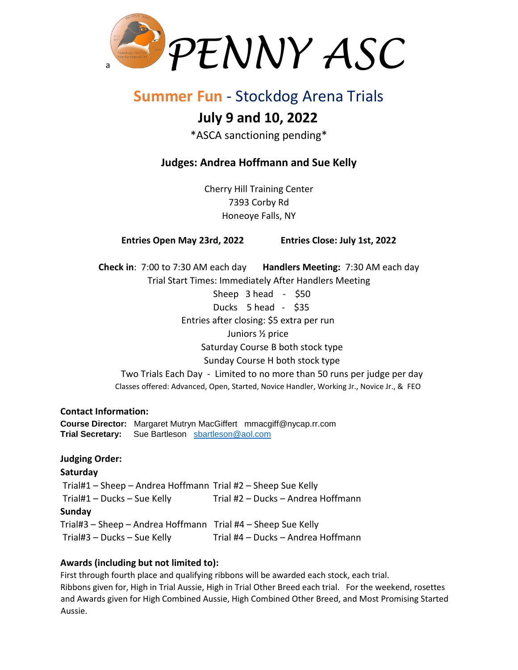

# **Summer Fun** - Stockdog Arena Trials

# **July 9 and 10, 2022**

\*ASCA sanctioning pending\*

## **Judges: Andrea Hoffmann and Sue Kelly**

Cherry Hill Training Center 7393 Corby Rd Honeoye Falls, NY

**Entries Open May 23rd, 2022 Entries Close: July 1st, 2022**

**Check in**: 7:00 to 7:30 AM each day **Handlers Meeting:** 7:30 AM each day Trial Start Times: Immediately After Handlers Meeting

Sheep 3 head - \$50 Ducks 5 head - \$35 Entries after closing: \$5 extra per run Juniors ½ price Saturday Course B both stock type Sunday Course H both stock type Two Trials Each Day - Limited to no more than 50 runs per judge per day

Classes offered: Advanced, Open, Started, Novice Handler, Working Jr., Novice Jr., & FEO

#### **Contact Information:**

**Course Director:** Margaret Mutryn MacGiffert mmacgiff@nycap.rr.com **Trial Secretary:** Sue Bartleson [sbartleson@aol.com](mailto:sbartleson@aol.com)

### **Judging Order:**

**Saturday**  Trial#1 – Sheep – Andrea Hoffmann Trial #2 – Sheep Sue Kelly Trial#1 – Ducks – Sue Kelly Trial #2 – Ducks – Andrea Hoffmann **Sunday**  Trial#3 – Sheep – Andrea Hoffmann Trial #4 – Sheep Sue Kelly Trial#3 – Ducks – Sue Kelly Trial #4 – Ducks – Andrea Hoffmann

### **Awards (including but not limited to):**

First through fourth place and qualifying ribbons will be awarded each stock, each trial. Ribbons given for, High in Trial Aussie, High in Trial Other Breed each trial. For the weekend, rosettes and Awards given for High Combined Aussie, High Combined Other Breed, and Most Promising Started Aussie.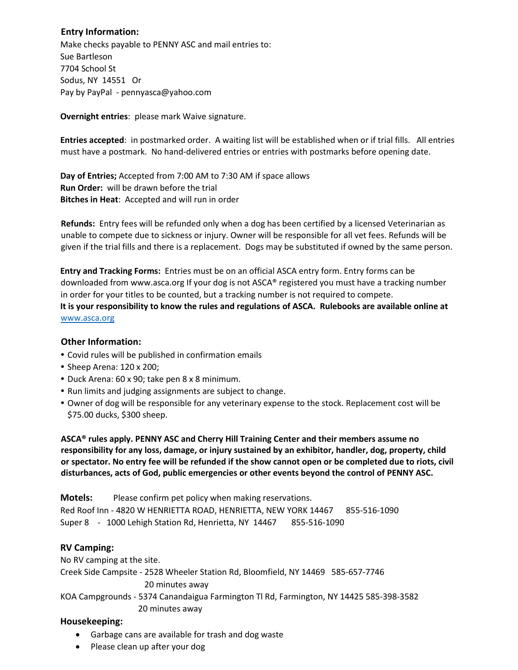#### **Entry Information:**

Make checks payable to PENNY ASC and mail entries to: Sue Bartleson 7704 School St Sodus, NY 14551 Or Pay by PayPal - pennyasca@yahoo.com

**Overnight entries**: please mark Waive signature.

**Entries accepted**: in postmarked order. A waiting list will be established when or if trial fills. All entries must have a postmark. No hand-delivered entries or entries with postmarks before opening date.

**Day of Entries;** Accepted from 7:00 AM to 7:30 AM if space allows **Run Order:** will be drawn before the trial **Bitches in Heat**: Accepted and will run in order

**Refunds:** Entry fees will be refunded only when a dog has been certified by a licensed Veterinarian as unable to compete due to sickness or injury. Owner will be responsible for all vet fees. Refunds will be given if the trial fills and there is a replacement. Dogs may be substituted if owned by the same person.

**Entry and Tracking Forms:** Entries must be on an official ASCA entry form. Entry forms can be downloaded from [www.asca.org](http://www.asca.org/) [If](http://www.asca.org/) your dog is not ASCA® registered you must have a tracking number in order for your titles to be counted, but a tracking number is not required to compete. **It is your responsibility to know the rules and regulations of ASCA. Rulebooks are available online at** [www.asca.org](http://www.asca.org/)

#### **Other Information:**

- **•** Covid rules will be published in confirmation emails
- **•** Sheep Arena: 120 x 200;
- **•** Duck Arena: 60 x 90; take pen 8 x 8 minimum.
- **•** Run limits and judging assignments are subject to change.
- **•** Owner of dog will be responsible for any veterinary expense to the stock. Replacement cost will be \$75.00 ducks, \$300 sheep.

**ASCA® rules apply. PENNY ASC and Cherry Hill Training Center and their members assume no responsibility for any loss, damage, or injury sustained by an exhibitor, handler, dog, property, child or spectator. No entry fee will be refunded if the show cannot open or be completed due to riots, civil disturbances, acts of God, public emergencies or other events beyond the control of PENNY ASC.** 

**Motels:** Please confirm pet policy when making reservations. Red Roof Inn - 4820 W HENRIETTA ROAD, HENRIETTA, NEW YORK 14467 [855-516-1090](tel:855-516-1090) Super 8 - 1000 Lehigh Station Rd, Henrietta, NY 14467 855-516-1090

#### **RV Camping:**

No RV camping at the site.

Creek Side Campsite - 2528 Wheeler Station Rd, Bloomfield, NY 14469 585-657-7746 20 minutes away

KOA Campgrounds - 5374 Canandaigua Farmington Tl Rd, Farmington, NY 14425 585-398-3582 20 minutes away

#### **Housekeeping:**

- Garbage cans are available for trash and dog waste
- Please clean up after your dog